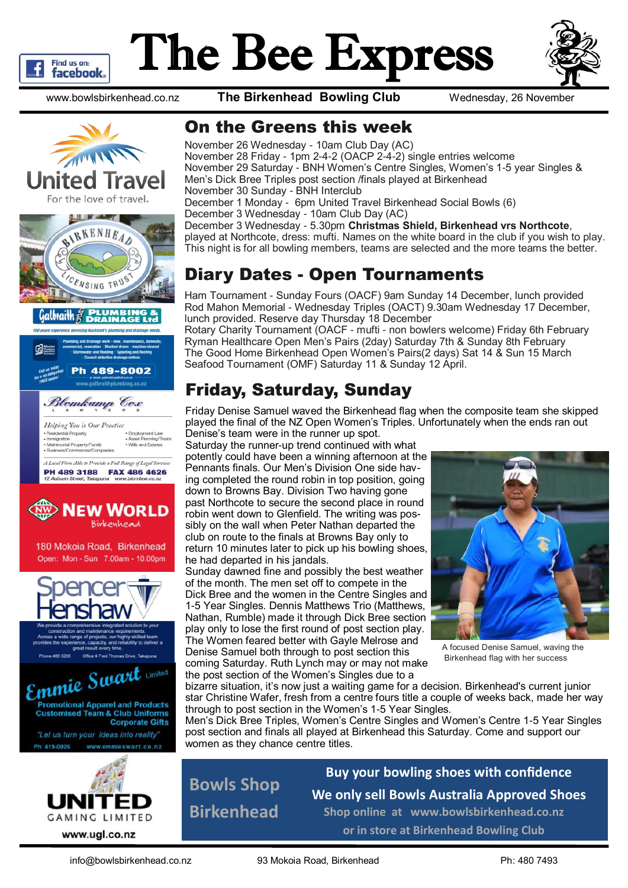

# The Bee Express



www.bowlsbirkenhead.co.nz **The Birkenhead Bowling Club** Wednesday, 26 November





c<br>• Employment Law<br>• Asset Planning/Trusts<br>• Wills and Estates ential Property nigration<br>trimonial Property/F A Local Firm Able to Provide a Full Range of Legal Service.

**PH 489 3188 FAX 486 4626**<br>12 Auburn Street, Takapuna www.blomlaw.co.nz



Open: Mon - Sun 7.00am - 10.00pm







#### On the Greens this week

November 26 Wednesday - 10am Club Day (AC) November 28 Friday - 1pm 2-4-2 (OACP 2-4-2) single entries welcome November 29 Saturday - BNH Women's Centre Singles, Women's 1-5 year Singles & Men's Dick Bree Triples post section /finals played at Birkenhead November 30 Sunday - BNH Interclub December 1 Monday - 6pm United Travel Birkenhead Social Bowls (6) December 3 Wednesday - 10am Club Day (AC) December 3 Wednesday - 5.30pm **Christmas Shield, Birkenhead vrs Northcote**, played at Northcote, dress: mufti. Names on the white board in the club if you wish to play. This night is for all bowling members, teams are selected and the more teams the better.

## Diary Dates - Open Tournaments

Ham Tournament - Sunday Fours (OACF) 9am Sunday 14 December, lunch provided Rod Mahon Memorial - Wednesday Triples (OACT) 9.30am Wednesday 17 December, lunch provided. Reserve day Thursday 18 December

Rotary Charity Tournament (OACF - mufti - non bowlers welcome) Friday 6th February Ryman Healthcare Open Men's Pairs (2day) Saturday 7th & Sunday 8th February The Good Home Birkenhead Open Women's Pairs(2 days) Sat 14 & Sun 15 March Seafood Tournament (OMF) Saturday 11 & Sunday 12 April.

# Friday, Saturday, Sunday

Friday Denise Samuel waved the Birkenhead flag when the composite team she skipped played the final of the NZ Open Women's Triples. Unfortunately when the ends ran out Denise's team were in the runner up spot.

Saturday the runner-up trend continued with what potently could have been a winning afternoon at the Pennants finals. Our Men's Division One side having completed the round robin in top position, going down to Browns Bay. Division Two having gone past Northcote to secure the second place in round robin went down to Glenfield. The writing was possibly on the wall when Peter Nathan departed the club on route to the finals at Browns Bay only to return 10 minutes later to pick up his bowling shoes, he had departed in his jandals.

Sunday dawned fine and possibly the best weather of the month. The men set off to compete in the Dick Bree and the women in the Centre Singles and 1-5 Year Singles. Dennis Matthews Trio (Matthews, Nathan, Rumble) made it through Dick Bree section play only to lose the first round of post section play. The Women feared better with Gayle Melrose and Denise Samuel both through to post section this coming Saturday. Ruth Lynch may or may not make the post section of the Women's Singles due to a



A focused Denise Samuel, waving the Birkenhead flag with her success

bizarre situation, it's now just a waiting game for a decision. Birkenhead's current junior star Christine Wafer, fresh from a centre fours title a couple of weeks back, made her way through to post section in the Women's 1-5 Year Singles.

Men's Dick Bree Triples, Women's Centre Singles and Women's Centre 1-5 Year Singles post section and finals all played at Birkenhead this Saturday. Come and support our women as they chance centre titles.

**Bowls Shop Birkenhead**

**Buy your bowling shoes with confidence We only sell Bowls Australia Approved Shoes Shop online at www.bowlsbirkenhead.co.nz or in store at Birkenhead Bowling Club**